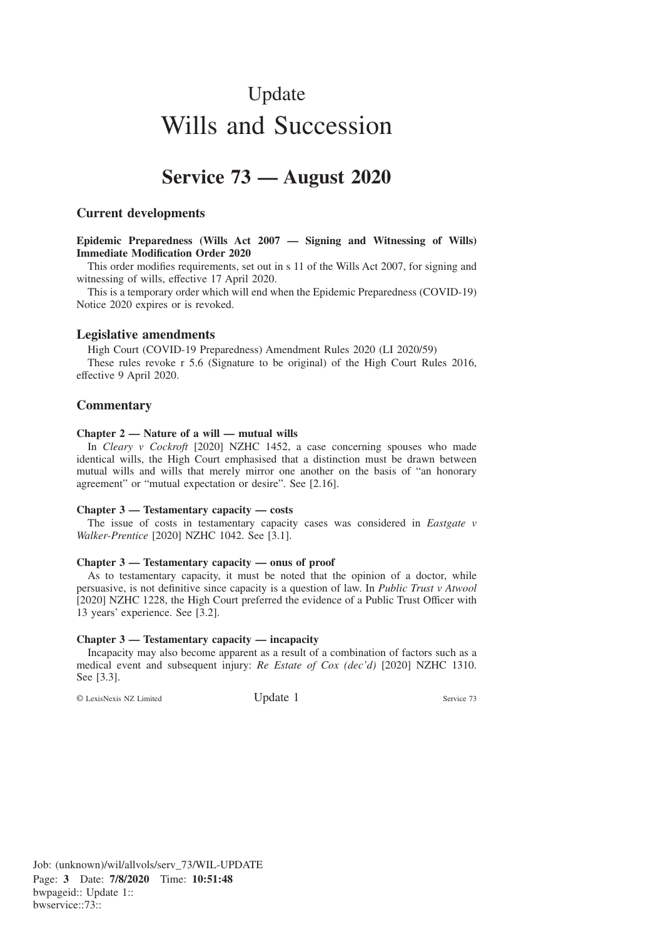# Update Wills and Succession

# **Service 73 — August 2020**

# **Current developments**

**Epidemic Preparedness (Wills Act 2007 — Signing and Witnessing of Wills) Immediate Modification Order 2020**

This order modifies requirements, set out in s 11 of the Wills Act 2007, for signing and witnessing of wills, effective 17 April 2020.

This is a temporary order which will end when the Epidemic Preparedness (COVID-19) Notice 2020 expires or is revoked.

# **Legislative amendments**

High Court (COVID-19 Preparedness) Amendment Rules 2020 (LI 2020/59)

These rules revoke r 5.6 (Signature to be original) of the High Court Rules 2016, effective 9 April 2020.

# **Commentary**

#### **Chapter 2 — Nature of a will — mutual wills**

In *Cleary v Cockroft* [2020] NZHC 1452, a case concerning spouses who made identical wills, the High Court emphasised that a distinction must be drawn between mutual wills and wills that merely mirror one another on the basis of "an honorary agreement" or "mutual expectation or desire". See [2.16].

#### **Chapter 3 — Testamentary capacity — costs**

The issue of costs in testamentary capacity cases was considered in *Eastgate v Walker-Prentice* [2020] NZHC 1042. See [3.1].

#### **Chapter 3 — Testamentary capacity — onus of proof**

As to testamentary capacity, it must be noted that the opinion of a doctor, while persuasive, is not definitive since capacity is a question of law. In *Public Trust v Atwool* [2020] NZHC 1228, the High Court preferred the evidence of a Public Trust Officer with 13 years' experience. See [3.2].

#### **Chapter 3 — Testamentary capacity — incapacity**

Incapacity may also become apparent as a result of a combination of factors such as a medical event and subsequent injury: *Re Estate of Cox (dec'd)* [2020] NZHC 1310. See [3.3].

© LexisNexis NZ Limited Update 1 Service 73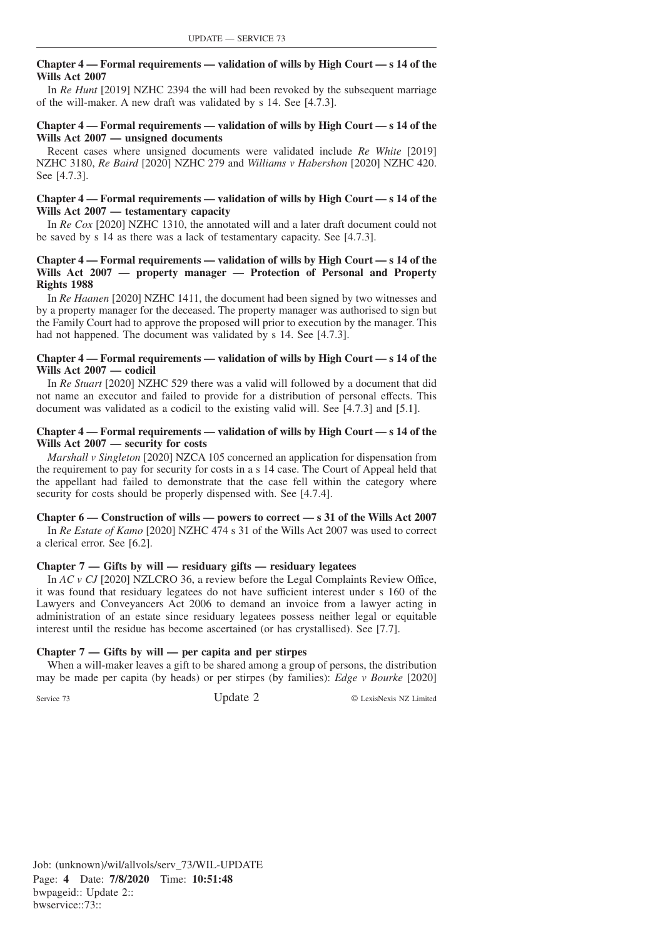# **Chapter 4 — Formal requirements — validation of wills by High Court — s 14 of the Wills Act 2007**

In *Re Hunt* [2019] NZHC 2394 the will had been revoked by the subsequent marriage of the will-maker. A new draft was validated by s 14. See [4.7.3].

## **Chapter 4 — Formal requirements — validation of wills by High Court — s 14 of the Wills Act 2007 — unsigned documents**

Recent cases where unsigned documents were validated include *Re White* [2019] NZHC 3180, *Re Baird* [2020] NZHC 279 and *Williams v Habershon* [2020] NZHC 420. See [4.7.3].

# **Chapter 4 — Formal requirements — validation of wills by High Court — s 14 of the Wills Act 2007 — testamentary capacity**

In *Re Cox* [2020] NZHC 1310, the annotated will and a later draft document could not be saved by s 14 as there was a lack of testamentary capacity. See [4.7.3].

# **Chapter 4 — Formal requirements — validation of wills by High Court — s 14 of the Wills Act 2007 — property manager — Protection of Personal and Property Rights 1988**

In *Re Haanen* [2020] NZHC 1411, the document had been signed by two witnesses and by a property manager for the deceased. The property manager was authorised to sign but the Family Court had to approve the proposed will prior to execution by the manager. This had not happened. The document was validated by s 14. See [4.7.3].

#### **Chapter 4 — Formal requirements — validation of wills by High Court — s 14 of the Wills Act 2007 — codicil**

In *Re Stuart* [2020] NZHC 529 there was a valid will followed by a document that did not name an executor and failed to provide for a distribution of personal effects. This document was validated as a codicil to the existing valid will. See [4.7.3] and [5.1].

#### **Chapter 4 — Formal requirements — validation of wills by High Court — s 14 of the Wills Act 2007 — security for costs**

*Marshall v Singleton* [2020] NZCA 105 concerned an application for dispensation from the requirement to pay for security for costs in a s 14 case. The Court of Appeal held that the appellant had failed to demonstrate that the case fell within the category where security for costs should be properly dispensed with. See [4.7.4].

#### **Chapter 6 — Construction of wills — powers to correct — s 31 of the Wills Act 2007**

In *Re Estate of Kamo* [2020] NZHC 474 s 31 of the Wills Act 2007 was used to correct a clerical error. See [6.2].

# **Chapter 7 — Gifts by will — residuary gifts — residuary legatees**

In *AC v CJ* [2020] NZLCRO 36, a review before the Legal Complaints Review Office, it was found that residuary legatees do not have sufficient interest under s 160 of the Lawyers and Conveyancers Act 2006 to demand an invoice from a lawyer acting in administration of an estate since residuary legatees possess neither legal or equitable interest until the residue has become ascertained (or has crystallised). See [7.7].

#### **Chapter 7 — Gifts by will — per capita and per stirpes**

When a will-maker leaves a gift to be shared among a group of persons, the distribution may be made per capita (by heads) or per stirpes (by families): *Edge v Bourke* [2020]